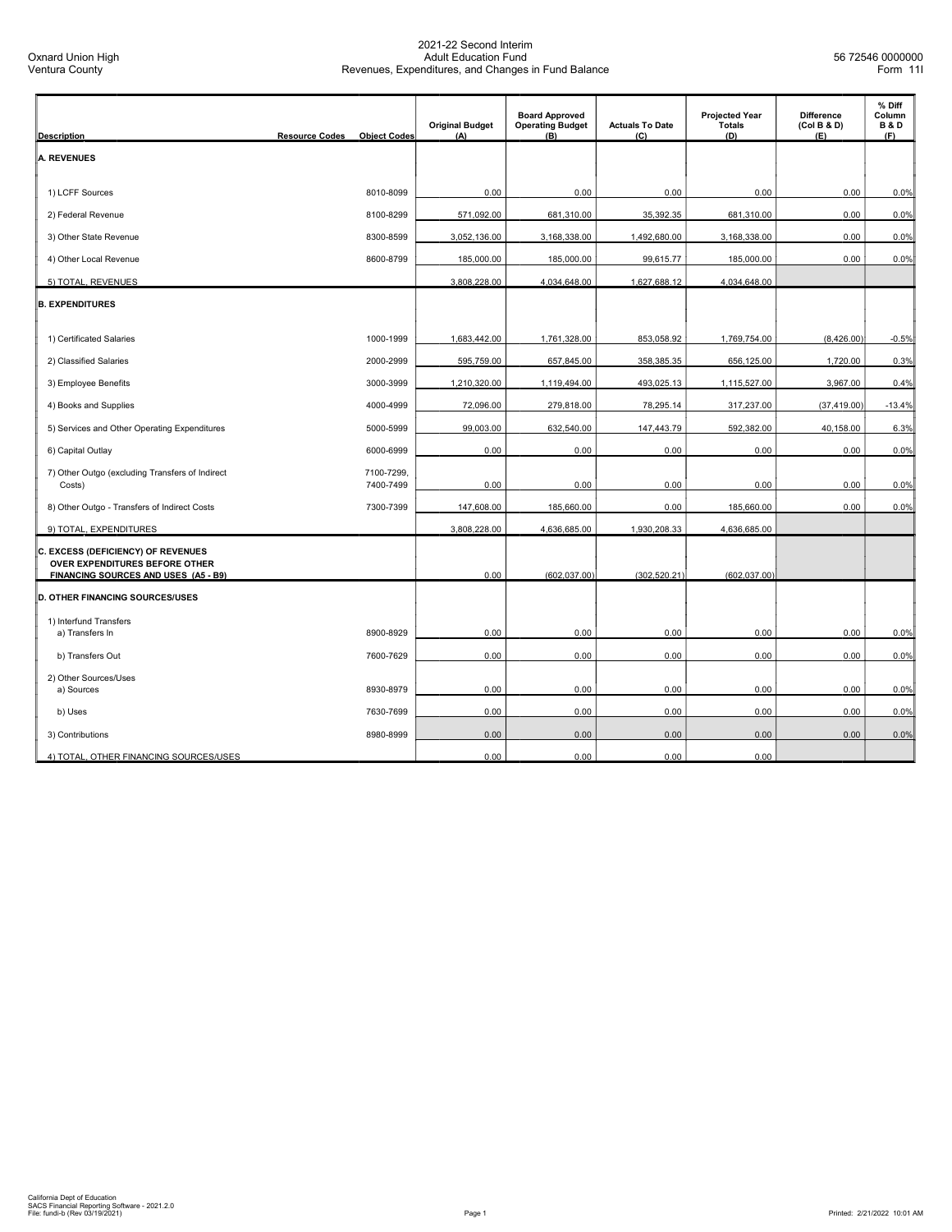| <b>Description</b>                                                   | <b>Resource Codes</b><br><b>Object Codes</b> | <b>Original Budget</b><br>(A) | <b>Board Approved</b><br><b>Operating Budget</b><br>(B) | <b>Actuals To Date</b><br>(C) | <b>Projected Year</b><br><b>Totals</b><br>(D) | <b>Difference</b><br>(Col B & D)<br>(E) | % Diff<br>Column<br><b>B&amp;D</b><br>(F) |
|----------------------------------------------------------------------|----------------------------------------------|-------------------------------|---------------------------------------------------------|-------------------------------|-----------------------------------------------|-----------------------------------------|-------------------------------------------|
| <b>A. REVENUES</b>                                                   |                                              |                               |                                                         |                               |                                               |                                         |                                           |
|                                                                      |                                              |                               |                                                         |                               |                                               |                                         |                                           |
| 1) LCFF Sources                                                      | 8010-8099                                    | 0.00                          | 0.00                                                    | 0.00                          | 0.00                                          | 0.00                                    | 0.0%                                      |
| 2) Federal Revenue                                                   | 8100-8299                                    | 571,092.00                    | 681,310.00                                              | 35,392.35                     | 681,310.00                                    | 0.00                                    | 0.0%                                      |
| 3) Other State Revenue                                               | 8300-8599                                    | 3,052,136.00                  | 3,168,338.00                                            | 1,492,680.00                  | 3,168,338.00                                  | 0.00                                    | 0.0%                                      |
| 4) Other Local Revenue                                               | 8600-8799                                    | 185,000.00                    | 185,000.00                                              | 99,615.77                     | 185,000.00                                    | 0.00                                    | 0.0%                                      |
| 5) TOTAL, REVENUES                                                   |                                              | 3,808,228.00                  | 4,034,648.00                                            | 1,627,688.12                  | 4,034,648.00                                  |                                         |                                           |
| <b>B. EXPENDITURES</b>                                               |                                              |                               |                                                         |                               |                                               |                                         |                                           |
| 1) Certificated Salaries                                             | 1000-1999                                    | 1,683,442.00                  | 1,761,328.00                                            | 853,058.92                    | 1,769,754.00                                  | (8,426.00)                              | $-0.5%$                                   |
| 2) Classified Salaries                                               | 2000-2999                                    | 595,759.00                    | 657,845.00                                              | 358,385.35                    | 656,125.00                                    | 1,720.00                                | 0.3%                                      |
| 3) Employee Benefits                                                 | 3000-3999                                    | 1,210,320.00                  | 1,119,494.00                                            | 493,025.13                    | 1,115,527.00                                  | 3,967.00                                | 0.4%                                      |
| 4) Books and Supplies                                                | 4000-4999                                    | 72,096.00                     | 279,818.00                                              | 78,295.14                     | 317,237.00                                    | (37, 419.00)                            | $-13.4%$                                  |
| 5) Services and Other Operating Expenditures                         | 5000-5999                                    | 99,003.00                     | 632,540.00                                              | 147,443.79                    | 592,382.00                                    | 40,158.00                               | 6.3%                                      |
| 6) Capital Outlay                                                    | 6000-6999                                    | 0.00                          | 0.00                                                    | 0.00                          | 0.00                                          | 0.00                                    | 0.0%                                      |
| 7) Other Outgo (excluding Transfers of Indirect                      | 7100-7299,                                   |                               |                                                         |                               |                                               |                                         |                                           |
| Costs)                                                               | 7400-7499                                    | 0.00                          | 0.00                                                    | 0.00                          | 0.00                                          | 0.00                                    | 0.0%                                      |
| 8) Other Outgo - Transfers of Indirect Costs                         | 7300-7399                                    | 147,608.00                    | 185,660.00                                              | 0.00                          | 185,660.00                                    | 0.00                                    | 0.0%                                      |
| 9) TOTAL, EXPENDITURES                                               |                                              | 3,808,228.00                  | 4,636,685.00                                            | 1,930,208.33                  | 4,636,685.00                                  |                                         |                                           |
| C. EXCESS (DEFICIENCY) OF REVENUES<br>OVER EXPENDITURES BEFORE OTHER |                                              |                               |                                                         |                               |                                               |                                         |                                           |
| FINANCING SOURCES AND USES (A5 - B9)                                 |                                              | 0.00                          | (602, 037.00)                                           | (302, 520.21)                 | (602, 037.00)                                 |                                         |                                           |
| <b>D. OTHER FINANCING SOURCES/USES</b>                               |                                              |                               |                                                         |                               |                                               |                                         |                                           |
| 1) Interfund Transfers                                               |                                              |                               |                                                         |                               |                                               |                                         |                                           |
| a) Transfers In                                                      | 8900-8929                                    | 0.00                          | 0.00                                                    | 0.00                          | 0.00                                          | 0.00                                    | 0.0%                                      |
| b) Transfers Out                                                     | 7600-7629                                    | 0.00                          | 0.00                                                    | 0.00                          | 0.00                                          | 0.00                                    | 0.0%                                      |
| 2) Other Sources/Uses<br>a) Sources                                  | 8930-8979                                    | 0.00                          | 0.00                                                    | 0.00                          | 0.00                                          | 0.00                                    | 0.0%                                      |
| b) Uses                                                              | 7630-7699                                    | 0.00                          | 0.00                                                    | 0.00                          | 0.00                                          | 0.00                                    | 0.0%                                      |
| 3) Contributions                                                     | 8980-8999                                    | 0.00                          | 0.00                                                    | 0.00                          | 0.00                                          | 0.00                                    | 0.0%                                      |
| 4) TOTAL, OTHER FINANCING SOURCES/USES                               |                                              | 0.00                          | 0.00                                                    | 0.00                          | 0.00                                          |                                         |                                           |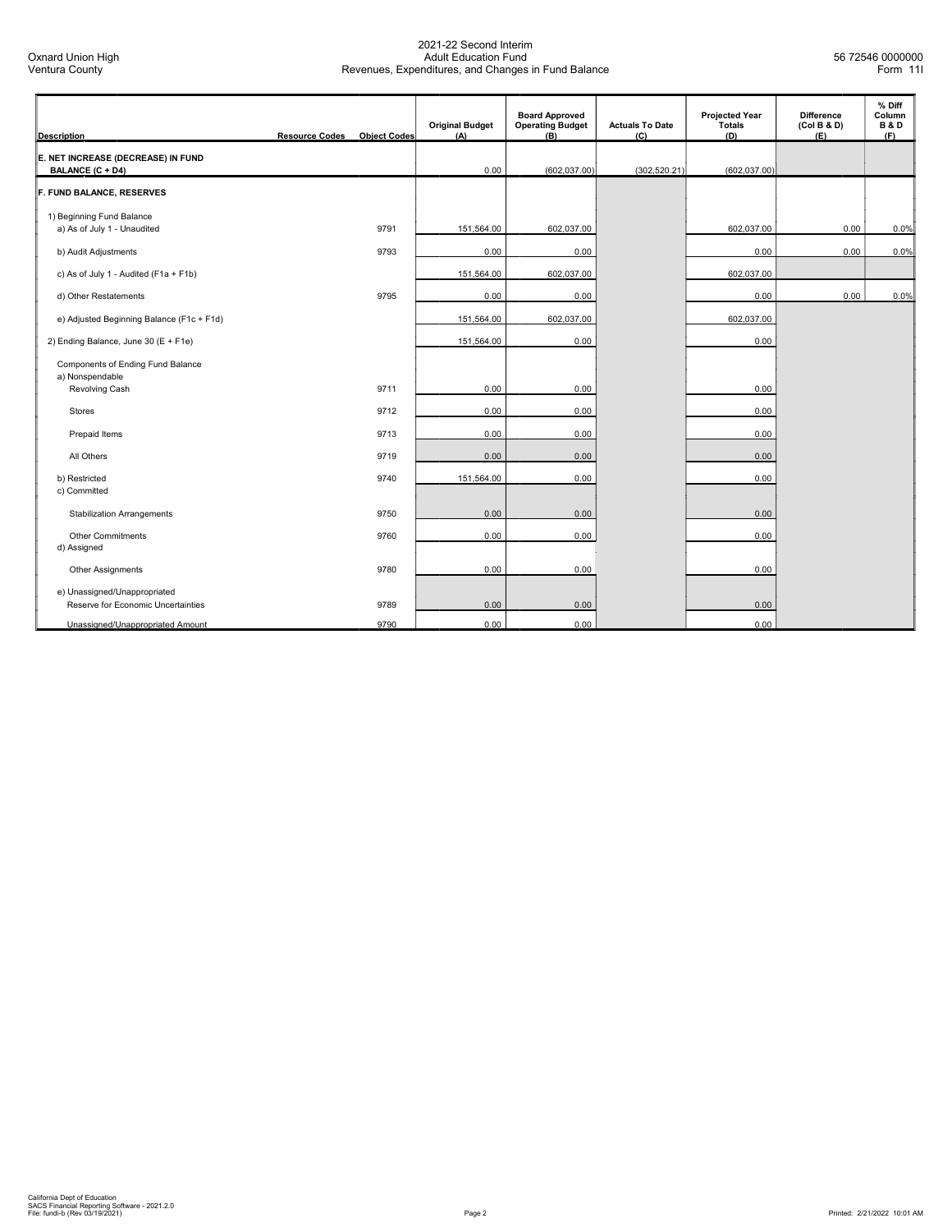| <b>Description</b>                                                 | <b>Resource Codes</b> | <b>Object Codes</b> | <b>Original Budget</b><br>(A) | <b>Board Approved</b><br><b>Operating Budget</b><br>(B) | <b>Actuals To Date</b><br>(C) | <b>Projected Year</b><br>Totals<br>(D) | <b>Difference</b><br>(Col B & D)<br>(E) | % Diff<br>Column<br><b>B&amp;D</b><br>(F) |
|--------------------------------------------------------------------|-----------------------|---------------------|-------------------------------|---------------------------------------------------------|-------------------------------|----------------------------------------|-----------------------------------------|-------------------------------------------|
| E. NET INCREASE (DECREASE) IN FUND<br>BALANCE (C + D4)             |                       |                     | 0.00                          | (602, 037.00)                                           | (302, 520.21)                 | (602, 037.00)                          |                                         |                                           |
| F. FUND BALANCE, RESERVES                                          |                       |                     |                               |                                                         |                               |                                        |                                         |                                           |
| 1) Beginning Fund Balance<br>a) As of July 1 - Unaudited           |                       | 9791                | 151,564.00                    | 602,037.00                                              |                               | 602,037.00                             | 0.00                                    | 0.0%                                      |
| b) Audit Adjustments                                               |                       | 9793                | 0.00                          | 0.00                                                    |                               | 0.00                                   | 0.00                                    | 0.0%                                      |
| c) As of July 1 - Audited (F1a + F1b)                              |                       |                     | 151,564.00                    | 602,037.00                                              |                               | 602,037.00                             |                                         |                                           |
| d) Other Restatements                                              |                       | 9795                | 0.00                          | 0.00                                                    |                               | 0.00                                   | 0.00                                    | 0.0%                                      |
| e) Adjusted Beginning Balance (F1c + F1d)                          |                       |                     | 151,564.00                    | 602,037.00                                              |                               | 602,037.00                             |                                         |                                           |
| 2) Ending Balance, June 30 (E + F1e)                               |                       |                     | 151,564.00                    | 0.00                                                    |                               | 0.00                                   |                                         |                                           |
| Components of Ending Fund Balance<br>a) Nonspendable               |                       |                     |                               |                                                         |                               |                                        |                                         |                                           |
| Revolving Cash                                                     |                       | 9711                | 0.00                          | 0.00                                                    |                               | 0.00                                   |                                         |                                           |
| <b>Stores</b>                                                      |                       | 9712                | 0.00                          | 0.00                                                    |                               | 0.00                                   |                                         |                                           |
| Prepaid Items                                                      |                       | 9713                | 0.00                          | 0.00                                                    |                               | 0.00                                   |                                         |                                           |
| All Others                                                         |                       | 9719                | 0.00                          | 0.00                                                    |                               | 0.00                                   |                                         |                                           |
| b) Restricted<br>c) Committed                                      |                       | 9740                | 151,564.00                    | 0.00                                                    |                               | 0.00                                   |                                         |                                           |
| <b>Stabilization Arrangements</b>                                  |                       | 9750                | 0.00                          | 0.00                                                    |                               | 0.00                                   |                                         |                                           |
| Other Commitments<br>d) Assigned                                   |                       | 9760                | 0.00                          | 0.00                                                    |                               | 0.00                                   |                                         |                                           |
| Other Assignments                                                  |                       | 9780                | 0.00                          | 0.00                                                    |                               | 0.00                                   |                                         |                                           |
| e) Unassigned/Unappropriated<br>Reserve for Economic Uncertainties |                       | 9789                | 0.00                          | 0.00                                                    |                               | 0.00                                   |                                         |                                           |
| Unassigned/Unappropriated Amount                                   |                       | 9790                | 0.00                          | 0.00                                                    |                               | 0.00                                   |                                         |                                           |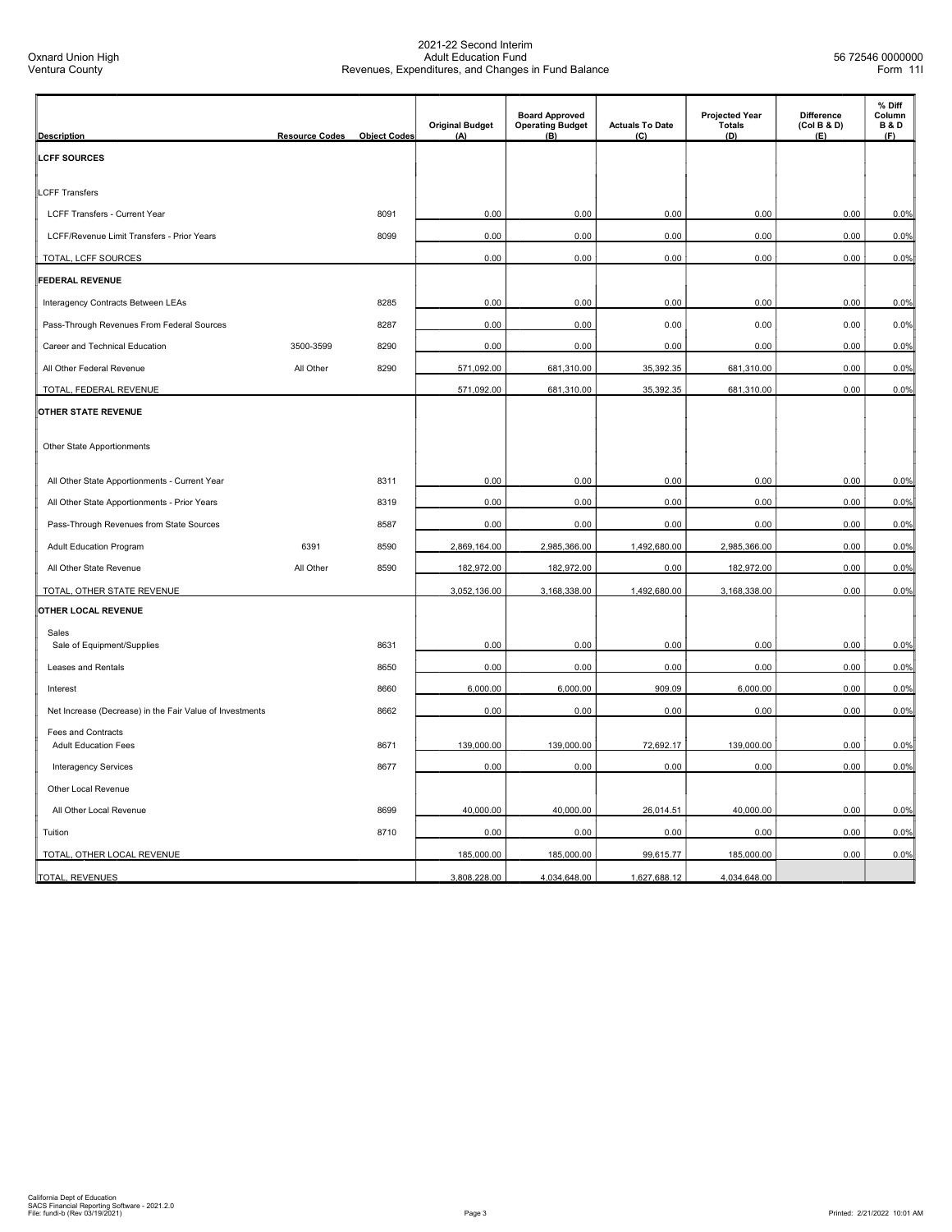| <b>Description</b>                                       | <b>Resource Codes</b> | <b>Object Codes</b> | <b>Original Budget</b><br>(A) | <b>Board Approved</b><br><b>Operating Budget</b><br>(B) | <b>Actuals To Date</b><br>(C) | <b>Projected Year</b><br><b>Totals</b><br>(D) | <b>Difference</b><br>(Col B & D)<br>(E) | % Diff<br>Column<br><b>B&amp;D</b><br>(F) |
|----------------------------------------------------------|-----------------------|---------------------|-------------------------------|---------------------------------------------------------|-------------------------------|-----------------------------------------------|-----------------------------------------|-------------------------------------------|
| <b>LCFF SOURCES</b>                                      |                       |                     |                               |                                                         |                               |                                               |                                         |                                           |
| <b>LCFF Transfers</b>                                    |                       |                     |                               |                                                         |                               |                                               |                                         |                                           |
| LCFF Transfers - Current Year                            |                       | 8091                | 0.00                          | 0.00                                                    | 0.00                          | 0.00                                          | 0.00                                    | 0.0%                                      |
| LCFF/Revenue Limit Transfers - Prior Years               |                       | 8099                | 0.00                          | 0.00                                                    | 0.00                          | 0.00                                          | 0.00                                    | 0.0%                                      |
| TOTAL, LCFF SOURCES                                      |                       |                     | 0.00                          | 0.00                                                    | 0.00                          | 0.00                                          | 0.00                                    | 0.0%                                      |
| FEDERAL REVENUE                                          |                       |                     |                               |                                                         |                               |                                               |                                         |                                           |
| Interagency Contracts Between LEAs                       |                       | 8285                | 0.00                          | 0.00                                                    | 0.00                          | 0.00                                          | 0.00                                    | 0.0%                                      |
| Pass-Through Revenues From Federal Sources               |                       | 8287                | 0.00                          | 0.00                                                    | 0.00                          | 0.00                                          | 0.00                                    | 0.0%                                      |
| Career and Technical Education                           | 3500-3599             | 8290                | 0.00                          | 0.00                                                    | 0.00                          | 0.00                                          | 0.00                                    | 0.0%                                      |
| All Other Federal Revenue                                | All Other             | 8290                | 571,092.00                    | 681,310.00                                              | 35,392.35                     | 681,310.00                                    | 0.00                                    | 0.0%                                      |
| TOTAL, FEDERAL REVENUE                                   |                       |                     | 571,092.00                    | 681,310.00                                              | 35,392.35                     | 681,310.00                                    | 0.00                                    | 0.0%                                      |
| OTHER STATE REVENUE                                      |                       |                     |                               |                                                         |                               |                                               |                                         |                                           |
| Other State Apportionments                               |                       |                     |                               |                                                         |                               |                                               |                                         |                                           |
| All Other State Apportionments - Current Year            |                       | 8311                | 0.00                          | 0.00                                                    | 0.00                          | 0.00                                          | 0.00                                    | 0.0%                                      |
| All Other State Apportionments - Prior Years             |                       | 8319                | 0.00                          | 0.00                                                    | 0.00                          | 0.00                                          | 0.00                                    | 0.0%                                      |
| Pass-Through Revenues from State Sources                 |                       | 8587                | 0.00                          | 0.00                                                    | 0.00                          | 0.00                                          | 0.00                                    | 0.0%                                      |
| <b>Adult Education Program</b>                           | 6391                  | 8590                | 2,869,164.00                  | 2,985,366.00                                            | 1,492,680.00                  | 2,985,366.00                                  | 0.00                                    | 0.0%                                      |
| All Other State Revenue                                  | All Other             | 8590                | 182,972.00                    | 182,972.00                                              | 0.00                          | 182,972.00                                    | 0.00                                    | 0.0%                                      |
| TOTAL, OTHER STATE REVENUE                               |                       |                     | 3,052,136.00                  | 3,168,338.00                                            | 1,492,680.00                  | 3,168,338.00                                  | 0.00                                    | 0.0%                                      |
| OTHER LOCAL REVENUE                                      |                       |                     |                               |                                                         |                               |                                               |                                         |                                           |
| Sales                                                    |                       |                     |                               |                                                         |                               |                                               |                                         |                                           |
| Sale of Equipment/Supplies                               |                       | 8631                | 0.00                          | 0.00                                                    | 0.00                          | 0.00                                          | 0.00                                    | 0.0%                                      |
| Leases and Rentals                                       |                       | 8650                | 0.00                          | 0.00                                                    | 0.00                          | 0.00                                          | 0.00                                    | 0.0%                                      |
| Interest                                                 |                       | 8660                | 6,000.00                      | 6,000.00                                                | 909.09                        | 6,000.00                                      | 0.00                                    | 0.0%                                      |
| Net Increase (Decrease) in the Fair Value of Investments |                       | 8662                | 0.00                          | 0.00                                                    | 0.00                          | 0.00                                          | 0.00                                    | 0.0%                                      |
| <b>Fees and Contracts</b><br><b>Adult Education Fees</b> |                       | 8671                | 139,000.00                    | 139,000.00                                              | 72,692.17                     | 139,000.00                                    | 0.00                                    | 0.0%                                      |
| Interagency Services                                     |                       | 8677                | 0.00                          | 0.00                                                    | 0.00                          | 0.00                                          | 0.00                                    | 0.0%                                      |
| Other Local Revenue                                      |                       |                     |                               |                                                         |                               |                                               |                                         |                                           |
| All Other Local Revenue                                  |                       | 8699                | 40,000.00                     | 40,000.00                                               | 26,014.51                     | 40,000.00                                     | 0.00                                    | 0.0%                                      |
| Tuition                                                  |                       | 8710                | 0.00                          | 0.00                                                    | 0.00                          | 0.00                                          | 0.00                                    | 0.0%                                      |
| TOTAL, OTHER LOCAL REVENUE                               |                       |                     | 185,000.00                    | 185,000.00                                              | 99,615.77                     | 185,000.00                                    | 0.00                                    | 0.0%                                      |
| TOTAL, REVENUES                                          |                       |                     | 3,808,228.00                  | 4,034,648.00                                            | 1,627,688.12                  | 4,034,648.00                                  |                                         |                                           |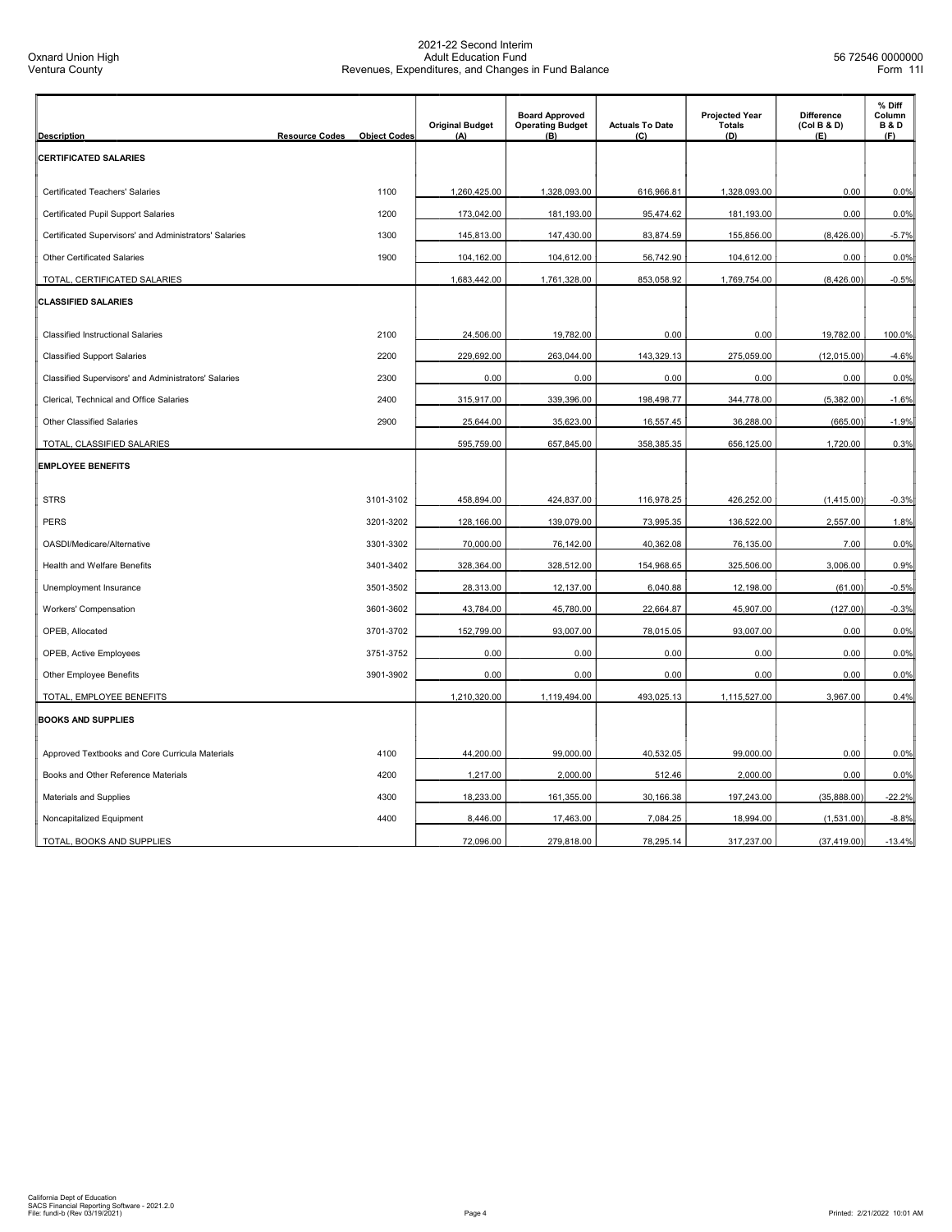| <b>Description</b>                                     | <b>Resource Codes</b> | <b>Object Codes</b> | <b>Original Budget</b><br>(A) | <b>Board Approved</b><br><b>Operating Budget</b><br>(B) | <b>Actuals To Date</b><br>(C) | <b>Projected Year</b><br><b>Totals</b><br>(D) | <b>Difference</b><br>(Col B & D)<br>(E) | % Diff<br>Column<br><b>B&amp;D</b><br>(F) |
|--------------------------------------------------------|-----------------------|---------------------|-------------------------------|---------------------------------------------------------|-------------------------------|-----------------------------------------------|-----------------------------------------|-------------------------------------------|
| <b>CERTIFICATED SALARIES</b>                           |                       |                     |                               |                                                         |                               |                                               |                                         |                                           |
|                                                        |                       |                     |                               |                                                         |                               |                                               |                                         |                                           |
| Certificated Teachers' Salaries                        |                       | 1100                | 1,260,425.00                  | 1,328,093.00                                            | 616,966.81                    | 1,328,093.00                                  | 0.00                                    | 0.0%                                      |
| <b>Certificated Pupil Support Salaries</b>             |                       | 1200                | 173,042.00                    | 181,193.00                                              | 95,474.62                     | 181,193.00                                    | 0.00                                    | 0.0%                                      |
| Certificated Supervisors' and Administrators' Salaries |                       | 1300                | 145,813.00                    | 147,430.00                                              | 83,874.59                     | 155,856.00                                    | (8,426.00)                              | $-5.7%$                                   |
| <b>Other Certificated Salaries</b>                     |                       | 1900                | 104,162.00                    | 104,612.00                                              | 56,742.90                     | 104,612.00                                    | 0.00                                    | 0.0%                                      |
| TOTAL, CERTIFICATED SALARIES                           |                       |                     | 1,683,442.00                  | 1,761,328.00                                            | 853,058.92                    | 1,769,754.00                                  | (8,426.00)                              | $-0.5%$                                   |
| <b>CLASSIFIED SALARIES</b>                             |                       |                     |                               |                                                         |                               |                                               |                                         |                                           |
| <b>Classified Instructional Salaries</b>               |                       | 2100                | 24,506.00                     | 19,782.00                                               | 0.00                          | 0.00                                          | 19,782.00                               | 100.0%                                    |
| <b>Classified Support Salaries</b>                     |                       | 2200                | 229,692.00                    | 263,044.00                                              | 143,329.13                    | 275,059.00                                    | (12,015.00)                             | $-4.6%$                                   |
| Classified Supervisors' and Administrators' Salaries   |                       | 2300                | 0.00                          | 0.00                                                    | 0.00                          | 0.00                                          | 0.00                                    | 0.0%                                      |
| Clerical, Technical and Office Salaries                |                       | 2400                | 315,917.00                    | 339,396.00                                              | 198,498.77                    | 344,778.00                                    | (5,382.00)                              | $-1.6%$                                   |
| <b>Other Classified Salaries</b>                       |                       | 2900                | 25,644.00                     | 35,623.00                                               | 16,557.45                     | 36,288.00                                     | (665.00)                                | $-1.9%$                                   |
| TOTAL, CLASSIFIED SALARIES                             |                       |                     | 595,759.00                    | 657,845.00                                              | 358,385.35                    | 656,125.00                                    | 1,720.00                                | 0.3%                                      |
| <b>EMPLOYEE BENEFITS</b>                               |                       |                     |                               |                                                         |                               |                                               |                                         |                                           |
| <b>STRS</b>                                            |                       | 3101-3102           | 458,894.00                    | 424,837.00                                              | 116,978.25                    | 426,252.00                                    | (1,415.00)                              | $-0.3%$                                   |
| <b>PERS</b>                                            |                       | 3201-3202           | 128,166.00                    | 139,079.00                                              | 73,995.35                     | 136,522.00                                    | 2,557.00                                | 1.8%                                      |
| OASDI/Medicare/Alternative                             |                       | 3301-3302           | 70,000.00                     | 76,142.00                                               | 40,362.08                     | 76,135.00                                     | 7.00                                    | 0.0%                                      |
| Health and Welfare Benefits                            |                       | 3401-3402           | 328,364.00                    | 328,512.00                                              | 154,968.65                    | 325,506.00                                    | 3,006.00                                | 0.9%                                      |
| Unemployment Insurance                                 |                       | 3501-3502           | 28,313.00                     | 12,137.00                                               | 6,040.88                      | 12,198.00                                     | (61.00)                                 | $-0.5%$                                   |
| <b>Workers' Compensation</b>                           |                       | 3601-3602           | 43,784.00                     | 45,780.00                                               | 22,664.87                     | 45,907.00                                     | (127.00)                                | $-0.3%$                                   |
| OPEB, Allocated                                        |                       | 3701-3702           | 152,799.00                    | 93,007.00                                               | 78,015.05                     | 93,007.00                                     | 0.00                                    | 0.0%                                      |
| OPEB, Active Employees                                 |                       | 3751-3752           | 0.00                          | 0.00                                                    | 0.00                          | 0.00                                          | 0.00                                    | 0.0%                                      |
| Other Employee Benefits                                |                       | 3901-3902           | 0.00                          | 0.00                                                    | 0.00                          | 0.00                                          | 0.00                                    | 0.0%                                      |
| TOTAL, EMPLOYEE BENEFITS                               |                       |                     | 1,210,320.00                  | 1,119,494.00                                            | 493,025.13                    | 1,115,527.00                                  | 3,967.00                                | 0.4%                                      |
| <b>BOOKS AND SUPPLIES</b>                              |                       |                     |                               |                                                         |                               |                                               |                                         |                                           |
| Approved Textbooks and Core Curricula Materials        |                       | 4100                | 44,200.00                     | 99,000.00                                               | 40,532.05                     | 99,000.00                                     | 0.00                                    | 0.0%                                      |
| Books and Other Reference Materials                    |                       | 4200                | 1,217.00                      | 2,000.00                                                | 512.46                        | 2,000.00                                      | 0.00                                    | 0.0%                                      |
| <b>Materials and Supplies</b>                          |                       | 4300                | 18,233.00                     | 161,355.00                                              | 30,166.38                     | 197,243.00                                    | (35,888.00)                             | $-22.2%$                                  |
| Noncapitalized Equipment                               |                       | 4400                | 8,446.00                      | 17,463.00                                               | 7,084.25                      | 18,994.00                                     | (1,531.00)                              | $-8.8%$                                   |
| TOTAL, BOOKS AND SUPPLIES                              |                       |                     | 72,096.00                     | 279,818.00                                              | 78,295.14                     | 317,237.00                                    | (37, 419.00)                            | $-13.4%$                                  |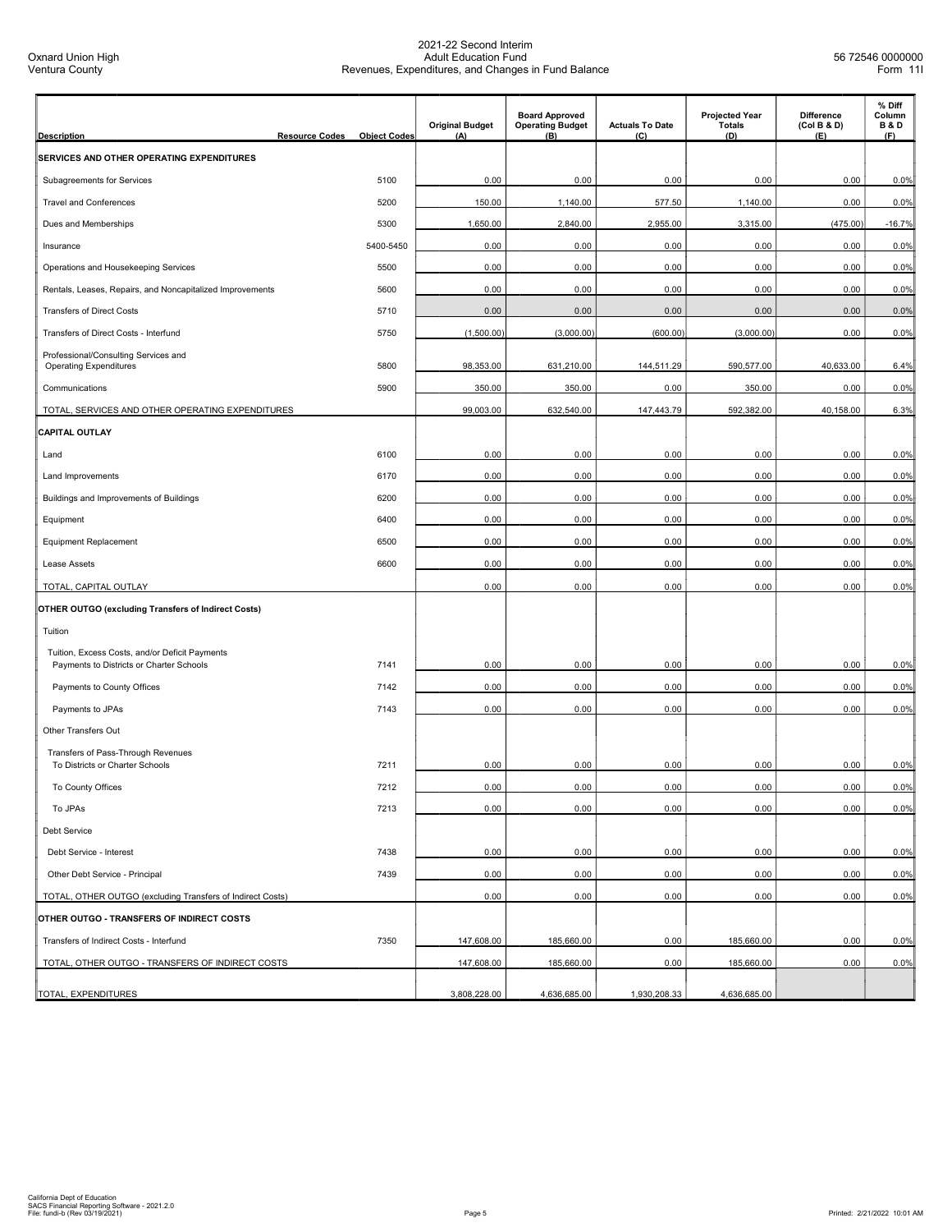| <b>Description</b><br><b>Resource Codes</b>                                                | <b>Object Codes</b> | <b>Original Budget</b><br>(A) | <b>Board Approved</b><br><b>Operating Budget</b><br>(B) | <b>Actuals To Date</b><br>(C) | <b>Projected Year</b><br><b>Totals</b><br>(D) | Difference<br>(Col B & D)<br>(E) | % Diff<br>Column<br><b>B&amp;D</b><br>(F) |
|--------------------------------------------------------------------------------------------|---------------------|-------------------------------|---------------------------------------------------------|-------------------------------|-----------------------------------------------|----------------------------------|-------------------------------------------|
| SERVICES AND OTHER OPERATING EXPENDITURES                                                  |                     |                               |                                                         |                               |                                               |                                  |                                           |
| Subagreements for Services                                                                 | 5100                | 0.00                          | 0.00                                                    | 0.00                          | 0.00                                          | 0.00                             | 0.0%                                      |
| <b>Travel and Conferences</b>                                                              | 5200                | 150.00                        | 1,140.00                                                | 577.50                        | 1,140.00                                      | 0.00                             | 0.0%                                      |
| Dues and Memberships                                                                       | 5300                | 1,650.00                      | 2,840.00                                                | 2,955.00                      | 3,315.00                                      | (475.00)                         | $-16.7%$                                  |
| Insurance                                                                                  | 5400-5450           | 0.00                          | 0.00                                                    | 0.00                          | 0.00                                          | 0.00                             | 0.0%                                      |
| Operations and Housekeeping Services                                                       | 5500                | 0.00                          | 0.00                                                    | 0.00                          | 0.00                                          | 0.00                             | 0.0%                                      |
| Rentals, Leases, Repairs, and Noncapitalized Improvements                                  | 5600                | 0.00                          | 0.00                                                    | 0.00                          | 0.00                                          | 0.00                             | 0.0%                                      |
| <b>Transfers of Direct Costs</b>                                                           | 5710                | 0.00                          | 0.00                                                    | 0.00                          | 0.00                                          | 0.00                             | 0.0%                                      |
| Transfers of Direct Costs - Interfund                                                      | 5750                | (1,500.00)                    | (3,000.00)                                              | (600.00)                      | (3,000.00)                                    | 0.00                             | 0.0%                                      |
| Professional/Consulting Services and                                                       |                     |                               |                                                         |                               |                                               |                                  |                                           |
| <b>Operating Expenditures</b>                                                              | 5800<br>5900        | 98,353.00                     | 631,210.00                                              | 144,511.29                    | 590,577.00                                    | 40,633.00                        | 6.4%                                      |
| Communications                                                                             |                     | 350.00                        | 350.00                                                  | 0.00                          | 350.00                                        | 0.00                             | 0.0%                                      |
| TOTAL, SERVICES AND OTHER OPERATING EXPENDITURES<br><b>CAPITAL OUTLAY</b>                  |                     | 99,003.00                     | 632,540.00                                              | 147,443.79                    | 592,382.00                                    | 40,158.00                        | 6.3%                                      |
| Land                                                                                       | 6100                | 0.00                          | 0.00                                                    | 0.00                          | 0.00                                          | 0.00                             | 0.0%                                      |
|                                                                                            | 6170                | 0.00                          | 0.00                                                    | 0.00                          | 0.00                                          | 0.00                             | 0.0%                                      |
| Land Improvements                                                                          |                     |                               |                                                         |                               |                                               |                                  |                                           |
| Buildings and Improvements of Buildings                                                    | 6200                | 0.00                          | 0.00                                                    | 0.00                          | 0.00                                          | 0.00                             | 0.0%                                      |
| Equipment                                                                                  | 6400                | 0.00                          | 0.00                                                    | 0.00                          | 0.00                                          | 0.00                             | 0.0%                                      |
| <b>Equipment Replacement</b>                                                               | 6500                | 0.00                          | 0.00                                                    | 0.00                          | 0.00                                          | 0.00                             | 0.0%                                      |
| Lease Assets                                                                               | 6600                | 0.00                          | 0.00                                                    | 0.00                          | 0.00                                          | 0.00                             | 0.0%                                      |
| TOTAL, CAPITAL OUTLAY                                                                      |                     | 0.00                          | 0.00                                                    | 0.00                          | 0.00                                          | 0.00                             | 0.0%                                      |
| <b>OTHER OUTGO (excluding Transfers of Indirect Costs)</b>                                 |                     |                               |                                                         |                               |                                               |                                  |                                           |
| Tuition                                                                                    |                     |                               |                                                         |                               |                                               |                                  |                                           |
| Tuition, Excess Costs, and/or Deficit Payments<br>Payments to Districts or Charter Schools | 7141                | 0.00                          | 0.00                                                    | 0.00                          | 0.00                                          | 0.00                             | 0.0%                                      |
| Payments to County Offices                                                                 | 7142                | 0.00                          | 0.00                                                    | 0.00                          | 0.00                                          | 0.00                             | 0.0%                                      |
| Payments to JPAs                                                                           | 7143                | 0.00                          | 0.00                                                    | 0.00                          | 0.00                                          | 0.00                             | 0.0%                                      |
| Other Transfers Out                                                                        |                     |                               |                                                         |                               |                                               |                                  |                                           |
| Transfers of Pass-Through Revenues<br>To Districts or Charter Schools                      | 7211                | 0.00                          | 0.00                                                    | 0.00                          | 0.00                                          | 0.00                             | 0.0%                                      |
| To County Offices                                                                          | 7212                | 0.00                          | 0.00                                                    | 0.00                          | 0.00                                          | 0.00                             | 0.0%                                      |
| To JPAs                                                                                    | 7213                | 0.00                          | 0.00                                                    | 0.00                          | 0.00                                          | 0.00                             | 0.0%                                      |
| Debt Service                                                                               |                     |                               |                                                         |                               |                                               |                                  |                                           |
| Debt Service - Interest                                                                    | 7438                | 0.00                          | 0.00                                                    | 0.00                          | 0.00                                          | 0.00                             | 0.0%                                      |
| Other Debt Service - Principal                                                             | 7439                | 0.00                          | 0.00                                                    | 0.00                          | 0.00                                          | 0.00                             | 0.0%                                      |
| TOTAL, OTHER OUTGO (excluding Transfers of Indirect Costs)                                 |                     | 0.00                          | 0.00                                                    | 0.00                          | 0.00                                          | 0.00                             | 0.0%                                      |
| OTHER OUTGO - TRANSFERS OF INDIRECT COSTS                                                  |                     |                               |                                                         |                               |                                               |                                  |                                           |
| Transfers of Indirect Costs - Interfund                                                    | 7350                | 147,608.00                    | 185,660.00                                              | 0.00                          | 185,660.00                                    | 0.00                             | 0.0%                                      |
| TOTAL, OTHER OUTGO - TRANSFERS OF INDIRECT COSTS                                           |                     | 147,608.00                    | 185,660.00                                              | 0.00                          | 185,660.00                                    | 0.00                             | 0.0%                                      |
| TOTAL, EXPENDITURES                                                                        |                     | 3,808,228.00                  | 4,636,685.00                                            | 1,930,208.33                  | 4,636,685.00                                  |                                  |                                           |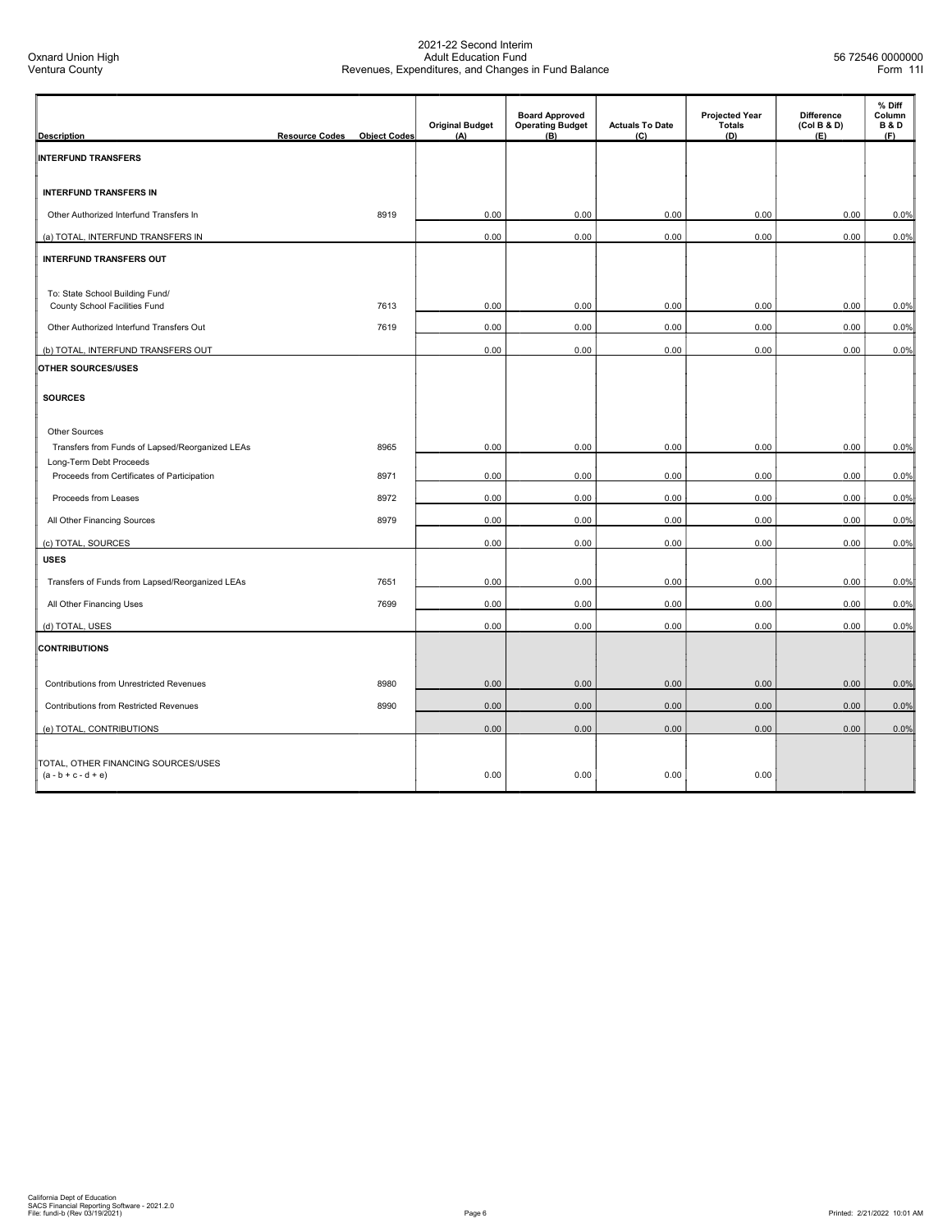| <b>Description</b>                                                      | <b>Resource Codes</b> | <b>Object Codes</b> | <b>Original Budget</b><br>(A) | <b>Board Approved</b><br><b>Operating Budget</b><br>$(\overline{B})$ | <b>Actuals To Date</b><br>(C) | <b>Projected Year</b><br><b>Totals</b><br>(D) | <b>Difference</b><br>(Col B & D)<br>(E) | % Diff<br>Column<br><b>B&amp;D</b><br>(F) |
|-------------------------------------------------------------------------|-----------------------|---------------------|-------------------------------|----------------------------------------------------------------------|-------------------------------|-----------------------------------------------|-----------------------------------------|-------------------------------------------|
| <b>INTERFUND TRANSFERS</b>                                              |                       |                     |                               |                                                                      |                               |                                               |                                         |                                           |
| <b>INTERFUND TRANSFERS IN</b>                                           |                       |                     |                               |                                                                      |                               |                                               |                                         |                                           |
| Other Authorized Interfund Transfers In                                 |                       | 8919                | 0.00                          | 0.00                                                                 | 0.00                          | 0.00                                          | 0.00                                    | 0.0%                                      |
| (a) TOTAL, INTERFUND TRANSFERS IN                                       |                       |                     | 0.00                          | 0.00                                                                 | 0.00                          | 0.00                                          | 0.00                                    | 0.0%                                      |
| INTERFUND TRANSFERS OUT                                                 |                       |                     |                               |                                                                      |                               |                                               |                                         |                                           |
| To: State School Building Fund/<br>County School Facilities Fund        |                       | 7613                | 0.00                          | 0.00                                                                 | 0.00                          | 0.00                                          | 0.00                                    | 0.0%                                      |
| Other Authorized Interfund Transfers Out                                |                       | 7619                | 0.00                          | 0.00                                                                 | 0.00                          | 0.00                                          | 0.00                                    | 0.0%                                      |
| (b) TOTAL, INTERFUND TRANSFERS OUT                                      |                       |                     | 0.00                          | 0.00                                                                 | 0.00                          | 0.00                                          | 0.00                                    | 0.0%                                      |
| OTHER SOURCES/USES                                                      |                       |                     |                               |                                                                      |                               |                                               |                                         |                                           |
| <b>SOURCES</b>                                                          |                       |                     |                               |                                                                      |                               |                                               |                                         |                                           |
| <b>Other Sources</b><br>Transfers from Funds of Lapsed/Reorganized LEAs |                       | 8965                | 0.00                          | 0.00                                                                 | 0.00                          | 0.00                                          | 0.00                                    |                                           |
| Long-Term Debt Proceeds                                                 |                       |                     |                               |                                                                      |                               |                                               |                                         | 0.0%                                      |
| Proceeds from Certificates of Participation                             |                       | 8971                | 0.00                          | 0.00                                                                 | 0.00                          | 0.00                                          | 0.00                                    | 0.0%                                      |
| Proceeds from Leases                                                    |                       | 8972                | 0.00                          | 0.00                                                                 | 0.00                          | 0.00                                          | 0.00                                    | 0.0%                                      |
| All Other Financing Sources                                             |                       | 8979                | 0.00                          | 0.00                                                                 | 0.00                          | 0.00                                          | 0.00                                    | 0.0%                                      |
| (c) TOTAL, SOURCES                                                      |                       |                     | 0.00                          | 0.00                                                                 | 0.00                          | 0.00                                          | 0.00                                    | 0.0%                                      |
| <b>USES</b>                                                             |                       |                     |                               |                                                                      |                               |                                               |                                         |                                           |
| Transfers of Funds from Lapsed/Reorganized LEAs                         |                       | 7651                | 0.00                          | 0.00                                                                 | 0.00                          | 0.00                                          | 0.00                                    | 0.0%                                      |
| All Other Financing Uses                                                |                       | 7699                | 0.00                          | 0.00                                                                 | 0.00                          | 0.00                                          | 0.00                                    | 0.0%                                      |
| (d) TOTAL, USES                                                         |                       |                     | 0.00                          | 0.00                                                                 | 0.00                          | 0.00                                          | 0.00                                    | 0.0%                                      |
| <b>CONTRIBUTIONS</b>                                                    |                       |                     |                               |                                                                      |                               |                                               |                                         |                                           |
| <b>Contributions from Unrestricted Revenues</b>                         |                       | 8980                | 0.00                          | 0.00                                                                 | 0.00                          | 0.00                                          | 0.00                                    | 0.0%                                      |
| Contributions from Restricted Revenues                                  |                       | 8990                | 0.00                          | 0.00                                                                 | 0.00                          | 0.00                                          | 0.00                                    | 0.0%                                      |
| (e) TOTAL, CONTRIBUTIONS                                                |                       |                     | 0.00                          | 0.00                                                                 | 0.00                          | 0.00                                          | 0.00                                    | 0.0%                                      |
| TOTAL, OTHER FINANCING SOURCES/USES<br>$(a - b + c - d + e)$            |                       |                     | 0.00                          | 0.00                                                                 | 0.00                          | 0.00                                          |                                         |                                           |